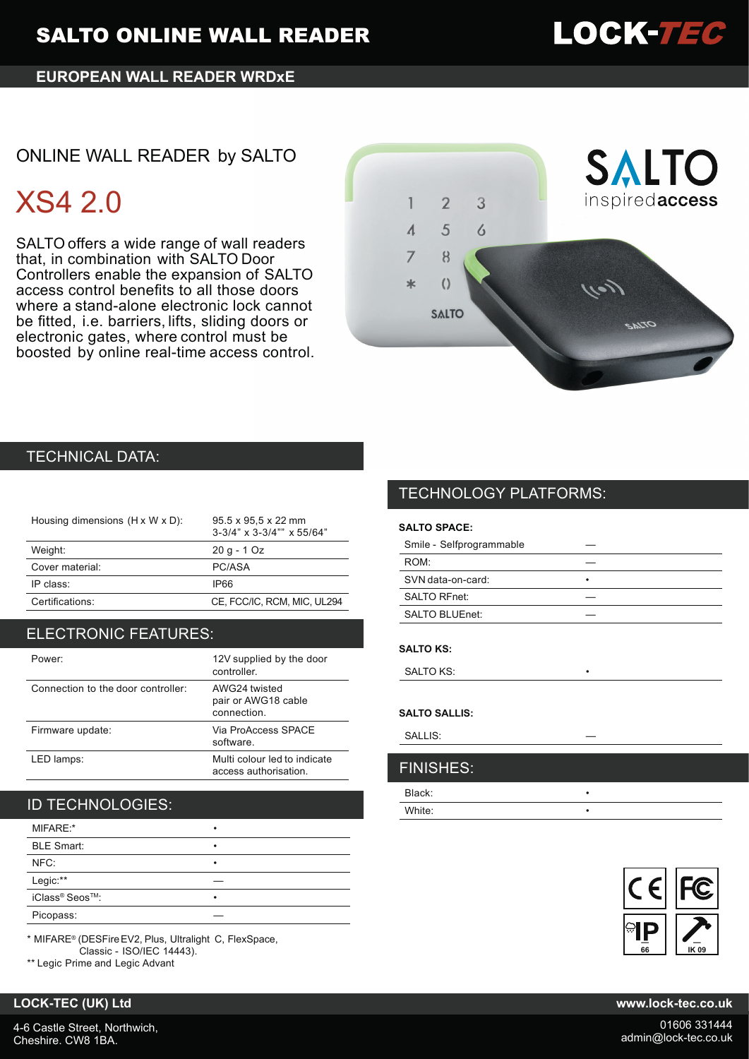## **EUROPEAN WALL READER WRDxE**

# ONLINE WALL READER by SALTO

# XS4 2.0

SALTO offers a wide range of wall readers that, in combination with SALTO Door Controllers enable the expansion of SALTO access control benefits to all those doors where a stand-alone electronic lock cannot be fitted, i.e. barriers, lifts, sliding doors or electronic gates, where control must be boosted by online real-time access control.



## TECHNICAL DATA:

| Housing dimensions (H x W x D): | 95.5 x 95.5 x 22 mm<br>$3-3/4$ " x $3-3/4$ "" x $55/64$ " |
|---------------------------------|-----------------------------------------------------------|
| Weight:                         | $20q - 1Qz$                                               |
| Cover material:                 | PC/ASA                                                    |
| IP class:                       | IP66                                                      |
| Certifications:                 | CE, FCC/IC, RCM, MIC, UL294                               |
|                                 |                                                           |

## ELECTRONIC FEATURES:

| Power:                             | 12V supplied by the door<br>controller.               |
|------------------------------------|-------------------------------------------------------|
| Connection to the door controller: | AWG24 twisted<br>pair or AWG18 cable<br>connection.   |
| Firmware update:                   | Via ProAccess SPACE<br>software.                      |
| LED lamps:                         | Multi colour led to indicate<br>access authorisation. |

# ID TECHNOLOGIES:

| MIFARE:*          | ٠ |
|-------------------|---|
| <b>BLE Smart:</b> | ٠ |
| NFC:              | ٠ |
| Legic:**          |   |
| iClass® Seos™:    | ٠ |
| Picopass:         |   |

\* MIFARE® (DESFireEV2, Plus, Ultralight C, FlexSpace, Classic - ISO/IEC 14443).

\*\* Legic Prime and Legic Advant

# TECHNOLOGY PLATFORMS:

## **SALTO SPACE:**

| Smile - Selfprogrammable |   |
|--------------------------|---|
| ROM <sup>-</sup>         |   |
| SVN data-on-card:        | ٠ |
| <b>SALTO RFnet:</b>      |   |
| SALTO BLUEnet:           |   |
|                          |   |

#### **SALTO KS:**

SALTO KS:

#### **SALTO SALLIS:**

SALLIS:

# Black: • FINISHES:

White: •



### **LOCK-TEC (UK) Ltd www.lock-tec.co.uk**

4-6 Castle Street, Northwich, Cheshire. CW8 1BA.